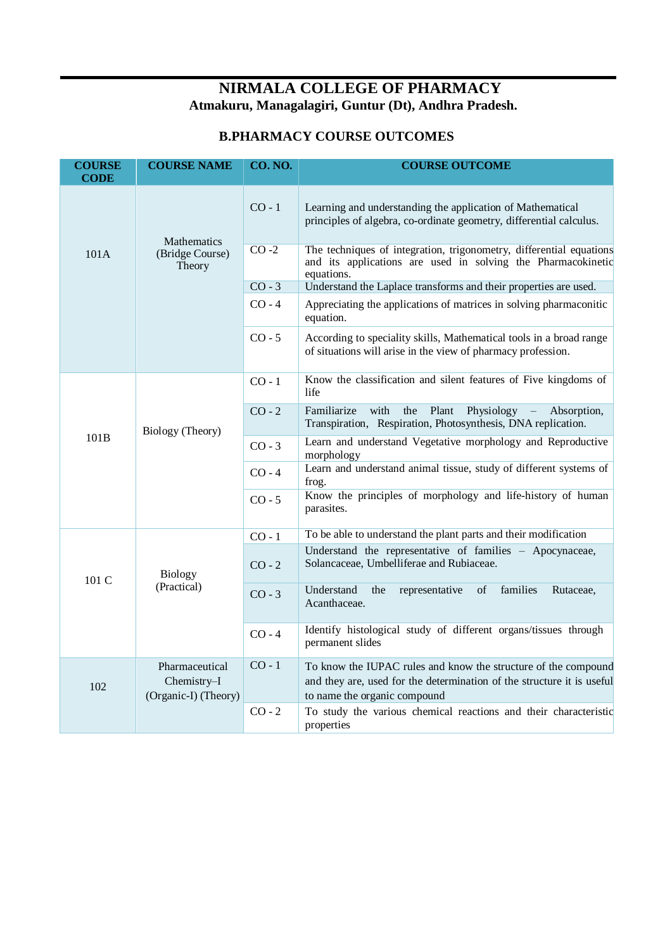## **NIRMALA COLLEGE OF PHARMACY Atmakuru, Managalagiri, Guntur (Dt), Andhra Pradesh.**

## **B.PHARMACY COURSE OUTCOMES**

| <b>COURSE</b><br><b>CODE</b> | <b>COURSE NAME</b>                              | <b>CO. NO.</b> | <b>COURSE OUTCOME</b>                                                                                                                             |
|------------------------------|-------------------------------------------------|----------------|---------------------------------------------------------------------------------------------------------------------------------------------------|
|                              | <b>Mathematics</b><br>(Bridge Course)<br>Theory | $CO - 1$       | Learning and understanding the application of Mathematical<br>principles of algebra, co-ordinate geometry, differential calculus.                 |
| 101A                         |                                                 | $CO -2$        | The techniques of integration, trigonometry, differential equations<br>and its applications are used in solving the Pharmacokinetic<br>equations. |
|                              |                                                 | $CO - 3$       | Understand the Laplace transforms and their properties are used.                                                                                  |
|                              |                                                 | $CO - 4$       | Appreciating the applications of matrices in solving pharmaconitic<br>equation.                                                                   |
|                              |                                                 | $CO - 5$       | According to speciality skills, Mathematical tools in a broad range<br>of situations will arise in the view of pharmacy profession.               |
|                              | Biology (Theory)                                | $CO - 1$       | Know the classification and silent features of Five kingdoms of<br>life                                                                           |
| 101B                         |                                                 | $CO - 2$       | with<br>Familiarize<br>the<br>Plant<br>Physiology<br>Absorption,<br>Transpiration, Respiration, Photosynthesis, DNA replication.                  |
|                              |                                                 | $CO - 3$       | Learn and understand Vegetative morphology and Reproductive<br>morphology                                                                         |
|                              |                                                 | $CO - 4$       | Learn and understand animal tissue, study of different systems of<br>frog.                                                                        |
|                              |                                                 | $CO - 5$       | Know the principles of morphology and life-history of human<br>parasites.                                                                         |
|                              |                                                 | $CO - 1$       | To be able to understand the plant parts and their modification                                                                                   |
| $101 \text{ C}$              | <b>Biology</b><br>(Practical)                   | $CO - 2$       | Understand the representative of families - Apocynaceae,<br>Solancaceae, Umbelliferae and Rubiaceae.                                              |
|                              |                                                 | $CO - 3$       | families<br>Understand<br>of<br>the<br>representative<br>Rutaceae,<br>Acanthaceae.                                                                |
|                              |                                                 | $CO - 4$       | Identify histological study of different organs/tissues through<br>permanent slides                                                               |
| 102                          | Pharmaceutical<br>Chemistry-I                   | $CO - 1$       | To know the IUPAC rules and know the structure of the compound<br>and they are, used for the determination of the structure it is useful          |
|                              | (Organic-I) (Theory)                            |                | to name the organic compound                                                                                                                      |
|                              |                                                 | $CO - 2$       | To study the various chemical reactions and their characteristic<br>properties                                                                    |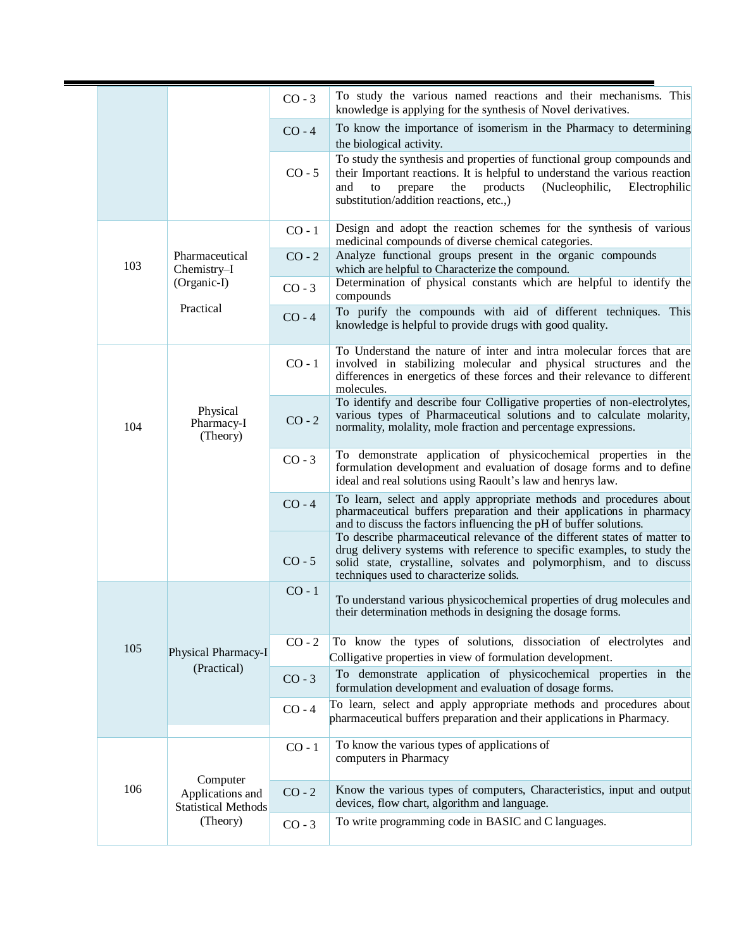|     |                                                            | $CO - 3$ | To study the various named reactions and their mechanisms. This<br>knowledge is applying for the synthesis of Novel derivatives.                                                                                                                                                |
|-----|------------------------------------------------------------|----------|---------------------------------------------------------------------------------------------------------------------------------------------------------------------------------------------------------------------------------------------------------------------------------|
|     |                                                            | $CO - 4$ | To know the importance of isomerism in the Pharmacy to determining<br>the biological activity.                                                                                                                                                                                  |
|     |                                                            | $CO - 5$ | To study the synthesis and properties of functional group compounds and<br>their Important reactions. It is helpful to understand the various reaction<br>and<br>the<br>products<br>(Nucleophilic,<br>Electrophilic<br>to<br>prepare<br>substitution/addition reactions, etc.,) |
|     |                                                            | $CO - 1$ | Design and adopt the reaction schemes for the synthesis of various<br>medicinal compounds of diverse chemical categories.                                                                                                                                                       |
| 103 | Pharmaceutical<br>Chemistry-I                              | $CO - 2$ | Analyze functional groups present in the organic compounds<br>which are helpful to Characterize the compound.                                                                                                                                                                   |
|     | (Organic-I)                                                | $CO - 3$ | Determination of physical constants which are helpful to identify the<br>compounds                                                                                                                                                                                              |
|     | Practical                                                  | $CO - 4$ | To purify the compounds with aid of different techniques. This<br>knowledge is helpful to provide drugs with good quality.                                                                                                                                                      |
|     |                                                            | $CO - 1$ | To Understand the nature of inter and intra molecular forces that are<br>involved in stabilizing molecular and physical structures and the<br>differences in energetics of these forces and their relevance to different<br>molecules.                                          |
| 104 | Physical<br>Pharmacy-I<br>(Theory)                         | $CO - 2$ | To identify and describe four Colligative properties of non-electrolytes,<br>various types of Pharmaceutical solutions and to calculate molarity,<br>normality, molality, mole fraction and percentage expressions.                                                             |
|     |                                                            | $CO - 3$ | To demonstrate application of physicochemical properties in the<br>formulation development and evaluation of dosage forms and to define<br>ideal and real solutions using Raoult's law and henrys law.                                                                          |
|     |                                                            | $CO - 4$ | To learn, select and apply appropriate methods and procedures about<br>pharmaceutical buffers preparation and their applications in pharmacy<br>and to discuss the factors influencing the pH of buffer solutions.                                                              |
|     |                                                            | $CO - 5$ | To describe pharmaceutical relevance of the different states of matter to<br>drug delivery systems with reference to specific examples, to study the<br>solid state, crystalline, solvates and polymorphism, and to discuss<br>techniques used to characterize solids.          |
|     |                                                            | $CO - 1$ | To understand various physicochemical properties of drug molecules and<br>their determination methods in designing the dosage forms.                                                                                                                                            |
| 105 | Physical Pharmacy-I                                        | $CO - 2$ | To know the types of solutions, dissociation of electrolytes and<br>Colligative properties in view of formulation development.                                                                                                                                                  |
|     | (Practical)                                                | $CO - 3$ | To demonstrate application of physicochemical properties in the<br>formulation development and evaluation of dosage forms.                                                                                                                                                      |
|     |                                                            | $CO - 4$ | To learn, select and apply appropriate methods and procedures about<br>pharmaceutical buffers preparation and their applications in Pharmacy.                                                                                                                                   |
|     |                                                            | $CO - 1$ | To know the various types of applications of<br>computers in Pharmacy                                                                                                                                                                                                           |
| 106 | Computer<br>Applications and<br><b>Statistical Methods</b> | $CO - 2$ | Know the various types of computers, Characteristics, input and output<br>devices, flow chart, algorithm and language.                                                                                                                                                          |
|     | (Theory)                                                   | $CO - 3$ | To write programming code in BASIC and C languages.                                                                                                                                                                                                                             |
|     |                                                            |          |                                                                                                                                                                                                                                                                                 |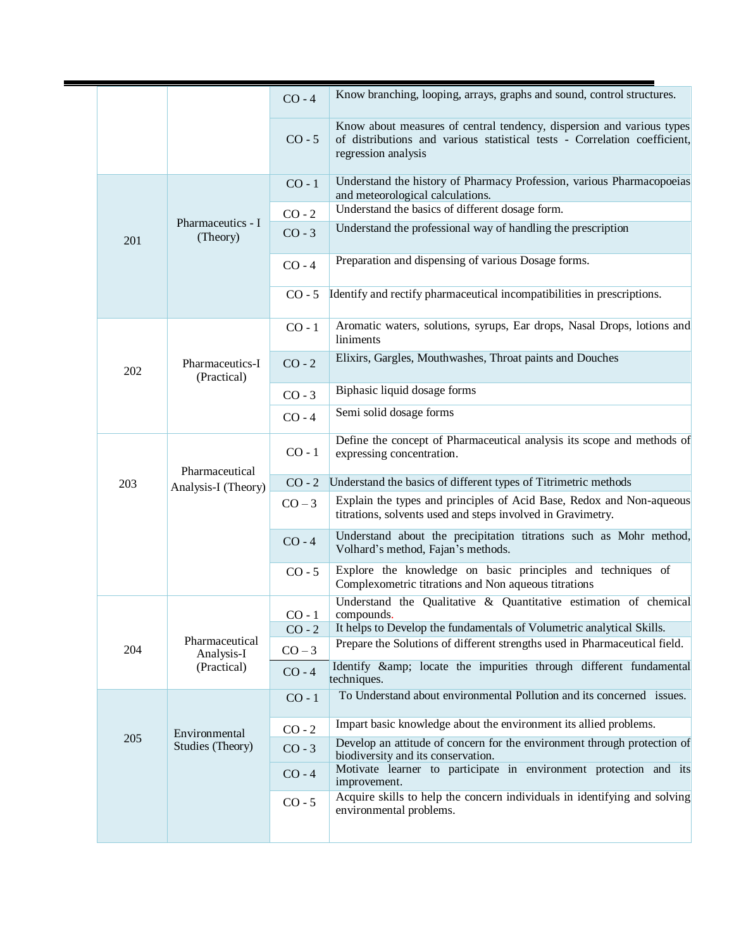|     |                                       | $CO - 4$ | Know branching, looping, arrays, graphs and sound, control structures.                                                                                                    |
|-----|---------------------------------------|----------|---------------------------------------------------------------------------------------------------------------------------------------------------------------------------|
|     |                                       | $CO - 5$ | Know about measures of central tendency, dispersion and various types<br>of distributions and various statistical tests - Correlation coefficient,<br>regression analysis |
|     |                                       | $CO - 1$ | Understand the history of Pharmacy Profession, various Pharmacopoeias<br>and meteorological calculations.                                                                 |
|     |                                       | $CO - 2$ | Understand the basics of different dosage form.                                                                                                                           |
| 201 | Pharmaceutics - I<br>(Theory)         | $CO - 3$ | Understand the professional way of handling the prescription                                                                                                              |
|     |                                       | $CO - 4$ | Preparation and dispensing of various Dosage forms.                                                                                                                       |
|     |                                       | $CO - 5$ | Identify and rectify pharmaceutical incompatibilities in prescriptions.                                                                                                   |
|     |                                       | $CO - 1$ | Aromatic waters, solutions, syrups, Ear drops, Nasal Drops, lotions and<br>liniments                                                                                      |
| 202 | Pharmaceutics-I<br>(Practical)        | $CO - 2$ | Elixirs, Gargles, Mouthwashes, Throat paints and Douches                                                                                                                  |
|     |                                       | $CO - 3$ | Biphasic liquid dosage forms                                                                                                                                              |
|     |                                       | $CO - 4$ | Semi solid dosage forms                                                                                                                                                   |
|     | Pharmaceutical<br>Analysis-I (Theory) | $CO - 1$ | Define the concept of Pharmaceutical analysis its scope and methods of<br>expressing concentration.                                                                       |
| 203 |                                       | $CO - 2$ | Understand the basics of different types of Titrimetric methods                                                                                                           |
|     |                                       | $CO-3$   | Explain the types and principles of Acid Base, Redox and Non-aqueous<br>titrations, solvents used and steps involved in Gravimetry.                                       |
|     |                                       | $CO - 4$ | Understand about the precipitation titrations such as Mohr method,<br>Volhard's method, Fajan's methods.                                                                  |
|     |                                       | $CO - 5$ | Explore the knowledge on basic principles and techniques of<br>Complexometric titrations and Non aqueous titrations                                                       |
|     |                                       | $CO - 1$ | Understand the Qualitative & Quantitative estimation of chemical<br>compounds.                                                                                            |
|     | Pharmaceutical                        | $CO - 2$ | It helps to Develop the fundamentals of Volumetric analytical Skills.<br>Prepare the Solutions of different strengths used in Pharmaceutical field.                       |
| 204 | Analysis-I                            | $CO-3$   |                                                                                                                                                                           |
|     | (Practical)                           | $CO - 4$ | Identify & amp; locate the impurities through different fundamental<br>techniques.                                                                                        |
| 205 |                                       | $CO - 1$ | To Understand about environmental Pollution and its concerned issues.                                                                                                     |
|     | Environmental<br>Studies (Theory)     | $CO - 2$ | Impart basic knowledge about the environment its allied problems.                                                                                                         |
|     |                                       | $CO - 3$ | Develop an attitude of concern for the environment through protection of<br>biodiversity and its conservation.                                                            |
|     |                                       | $CO - 4$ | Motivate learner to participate in environment protection and its<br>improvement.                                                                                         |
|     |                                       | $CO - 5$ | Acquire skills to help the concern individuals in identifying and solving<br>environmental problems.                                                                      |
|     |                                       |          |                                                                                                                                                                           |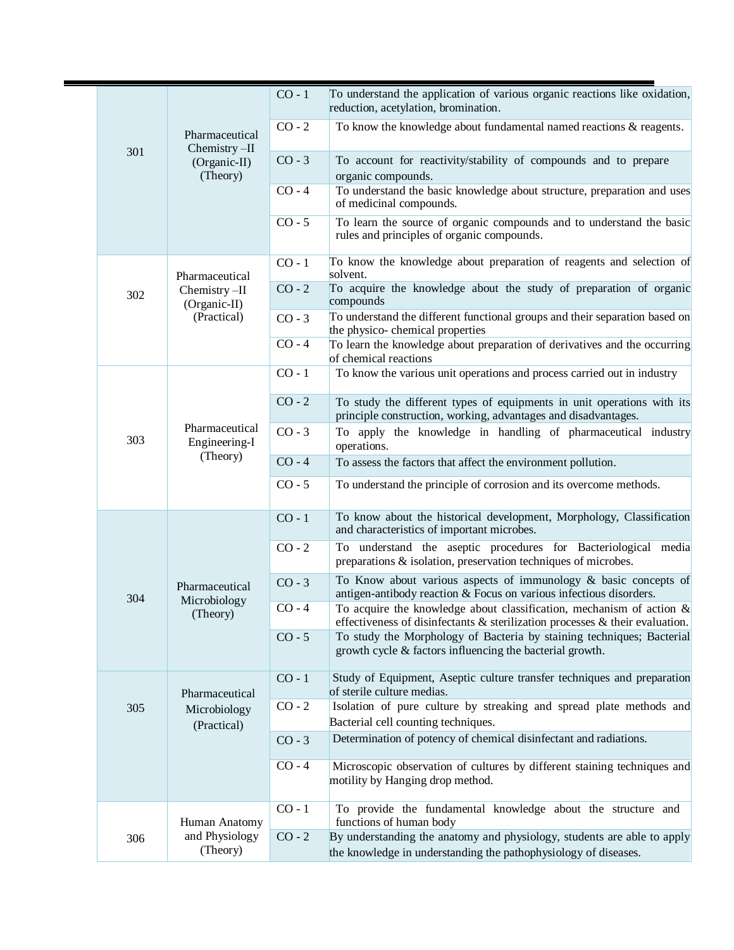|     |  | Pharmaceutical                              | $CO - 1$ | To understand the application of various organic reactions like oxidation,<br>reduction, acetylation, bromination.                                            |
|-----|--|---------------------------------------------|----------|---------------------------------------------------------------------------------------------------------------------------------------------------------------|
|     |  |                                             | $CO - 2$ | To know the knowledge about fundamental named reactions $\&$ reagents.                                                                                        |
| 301 |  | Chemistry-II<br>(Organic-II)<br>(Theory)    | $CO - 3$ | To account for reactivity/stability of compounds and to prepare<br>organic compounds.                                                                         |
|     |  |                                             | $CO - 4$ | To understand the basic knowledge about structure, preparation and uses<br>of medicinal compounds.                                                            |
|     |  |                                             | $CO - 5$ | To learn the source of organic compounds and to understand the basic<br>rules and principles of organic compounds.                                            |
|     |  | Pharmaceutical                              | $CO - 1$ | To know the knowledge about preparation of reagents and selection of<br>solvent.                                                                              |
| 302 |  | Chemistry-II<br>(Organic-II)                | $CO - 2$ | To acquire the knowledge about the study of preparation of organic<br>compounds                                                                               |
|     |  | (Practical)                                 | $CO - 3$ | To understand the different functional groups and their separation based on<br>the physico- chemical properties                                               |
|     |  |                                             | $CO - 4$ | To learn the knowledge about preparation of derivatives and the occurring<br>of chemical reactions                                                            |
|     |  | Pharmaceutical<br>Engineering-I<br>(Theory) | $CO - 1$ | To know the various unit operations and process carried out in industry                                                                                       |
|     |  |                                             | $CO - 2$ | To study the different types of equipments in unit operations with its<br>principle construction, working, advantages and disadvantages.                      |
| 303 |  |                                             | $CO - 3$ | To apply the knowledge in handling of pharmaceutical industry<br>operations.                                                                                  |
|     |  |                                             | $CO - 4$ | To assess the factors that affect the environment pollution.                                                                                                  |
|     |  |                                             | $CO - 5$ | To understand the principle of corrosion and its overcome methods.                                                                                            |
|     |  | Pharmaceutical<br>Microbiology<br>(Theory)  | $CO - 1$ | To know about the historical development, Morphology, Classification<br>and characteristics of important microbes.                                            |
|     |  |                                             | $CO - 2$ | To understand the aseptic procedures for Bacteriological media<br>preparations & isolation, preservation techniques of microbes.                              |
| 304 |  |                                             | $CO - 3$ | To Know about various aspects of immunology & basic concepts of<br>antigen-antibody reaction & Focus on various infectious disorders.                         |
|     |  |                                             | $CO - 4$ | To acquire the knowledge about classification, mechanism of action $\&$<br>effectiveness of disinfectants $\&$ sterilization processes $\&$ their evaluation. |
|     |  |                                             | $CO - 5$ | To study the Morphology of Bacteria by staining techniques; Bacterial<br>growth cycle & factors influencing the bacterial growth.                             |
|     |  | Pharmaceutical                              | $CO - 1$ | Study of Equipment, Aseptic culture transfer techniques and preparation<br>of sterile culture medias.                                                         |
| 305 |  | Microbiology<br>(Practical)                 | $CO - 2$ | Isolation of pure culture by streaking and spread plate methods and<br>Bacterial cell counting techniques.                                                    |
|     |  |                                             | $CO - 3$ | Determination of potency of chemical disinfectant and radiations.                                                                                             |
|     |  |                                             | $CO - 4$ | Microscopic observation of cultures by different staining techniques and<br>motility by Hanging drop method.                                                  |
|     |  | Human Anatomy                               | $CO - 1$ | To provide the fundamental knowledge about the structure and<br>functions of human body                                                                       |
| 306 |  | and Physiology<br>(Theory)                  | $CO - 2$ | By understanding the anatomy and physiology, students are able to apply<br>the knowledge in understanding the pathophysiology of diseases.                    |
|     |  |                                             |          |                                                                                                                                                               |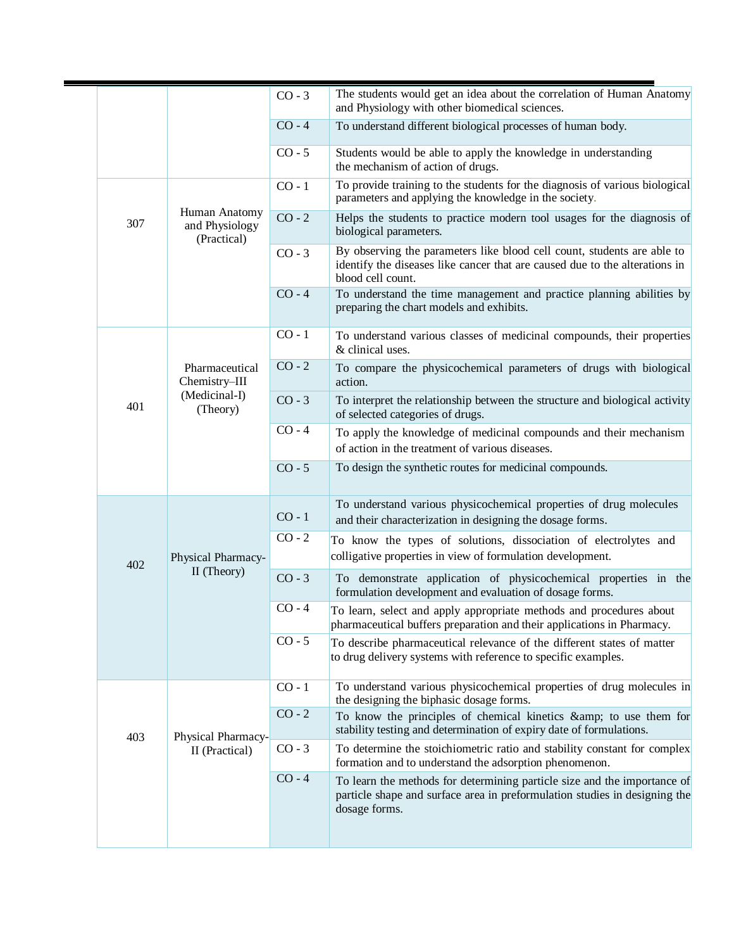|                                   | $CO - 3$                                                            | The students would get an idea about the correlation of Human Anatomy<br>and Physiology with other biomedical sciences.                                                     |
|-----------------------------------|---------------------------------------------------------------------|-----------------------------------------------------------------------------------------------------------------------------------------------------------------------------|
|                                   |                                                                     |                                                                                                                                                                             |
|                                   | $CO - 4$                                                            | To understand different biological processes of human body.                                                                                                                 |
|                                   | $CO - 5$                                                            | Students would be able to apply the knowledge in understanding<br>the mechanism of action of drugs.                                                                         |
|                                   | $CO - 1$                                                            | To provide training to the students for the diagnosis of various biological<br>parameters and applying the knowledge in the society.                                        |
| and Physiology                    | $CO - 2$                                                            | Helps the students to practice modern tool usages for the diagnosis of<br>biological parameters.                                                                            |
|                                   | $CO - 3$                                                            | By observing the parameters like blood cell count, students are able to<br>identify the diseases like cancer that are caused due to the alterations in<br>blood cell count. |
|                                   | $CO - 4$                                                            | To understand the time management and practice planning abilities by<br>preparing the chart models and exhibits.                                                            |
|                                   | $CO - 1$                                                            | To understand various classes of medicinal compounds, their properties<br>& clinical uses.                                                                                  |
| Pharmaceutical<br>Chemistry-III   | $CO - 2$                                                            | To compare the physicochemical parameters of drugs with biological<br>action.                                                                                               |
| (Theory)                          | $CO - 3$                                                            | To interpret the relationship between the structure and biological activity<br>of selected categories of drugs.                                                             |
|                                   |                                                                     | To apply the knowledge of medicinal compounds and their mechanism<br>of action in the treatment of various diseases.                                                        |
|                                   | $CO - 5$                                                            | To design the synthetic routes for medicinal compounds.                                                                                                                     |
| Physical Pharmacy-<br>II (Theory) | $CO - 1$                                                            | To understand various physicochemical properties of drug molecules<br>and their characterization in designing the dosage forms.                                             |
|                                   | $CO - 2$                                                            | To know the types of solutions, dissociation of electrolytes and<br>colligative properties in view of formulation development.                                              |
|                                   | $CO - 3$                                                            | To demonstrate application of physicochemical properties in the<br>formulation development and evaluation of dosage forms.                                                  |
|                                   | $CO - 4$                                                            | To learn, select and apply appropriate methods and procedures about<br>pharmaceutical buffers preparation and their applications in Pharmacy.                               |
|                                   | $CO - 5$                                                            | To describe pharmaceutical relevance of the different states of matter<br>to drug delivery systems with reference to specific examples.                                     |
|                                   | $CO - 1$                                                            | To understand various physicochemical properties of drug molecules in<br>the designing the biphasic dosage forms.                                                           |
|                                   | $CO - 2$                                                            | To know the principles of chemical kinetics & to use them for<br>stability testing and determination of expiry date of formulations.                                        |
| II (Practical)                    | $CO - 3$                                                            | To determine the stoichiometric ratio and stability constant for complex<br>formation and to understand the adsorption phenomenon.                                          |
|                                   | $CO - 4$                                                            | To learn the methods for determining particle size and the importance of<br>particle shape and surface area in preformulation studies in designing the<br>dosage forms.     |
|                                   | Human Anatomy<br>(Practical)<br>(Medicinal-I)<br>Physical Pharmacy- | $CO - 4$                                                                                                                                                                    |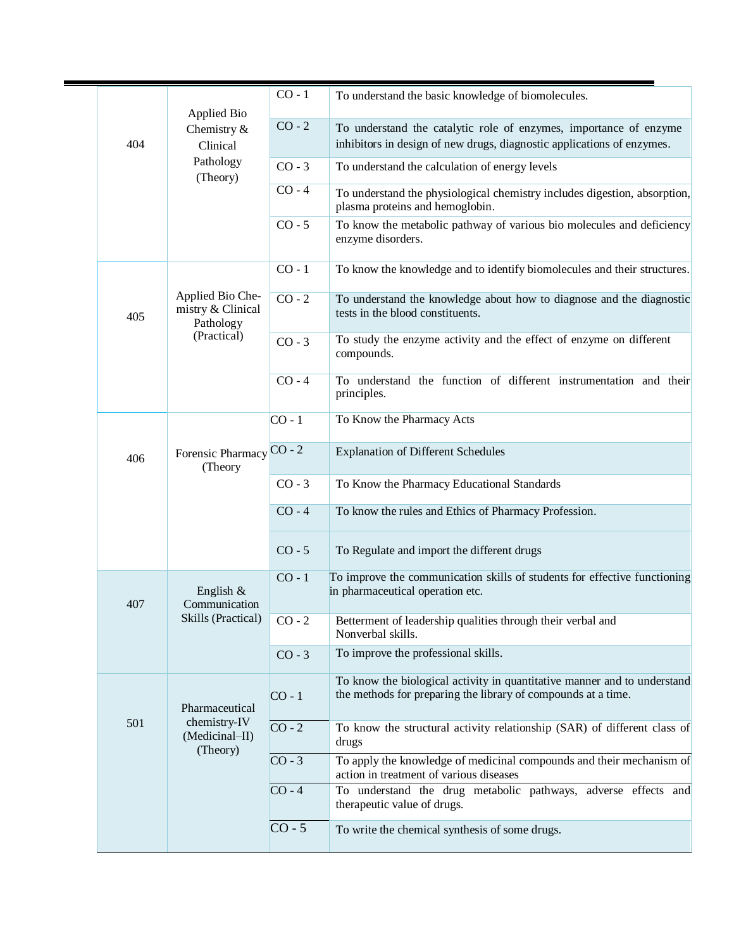|  | 404 | <b>Applied Bio</b><br>Chemistry $\&$<br>Clinical<br>Pathology<br>(Theory) | $CO - 1$ | To understand the basic knowledge of biomolecules.                                                                                          |
|--|-----|---------------------------------------------------------------------------|----------|---------------------------------------------------------------------------------------------------------------------------------------------|
|  |     |                                                                           | $CO - 2$ | To understand the catalytic role of enzymes, importance of enzyme<br>inhibitors in design of new drugs, diagnostic applications of enzymes. |
|  |     |                                                                           | $CO - 3$ | To understand the calculation of energy levels                                                                                              |
|  |     |                                                                           | $CO - 4$ | To understand the physiological chemistry includes digestion, absorption,<br>plasma proteins and hemoglobin.                                |
|  |     |                                                                           | $CO - 5$ | To know the metabolic pathway of various bio molecules and deficiency<br>enzyme disorders.                                                  |
|  |     |                                                                           | $CO - 1$ | To know the knowledge and to identify biomolecules and their structures.                                                                    |
|  | 405 | Applied Bio Che-<br>mistry & Clinical<br>Pathology                        | $CO - 2$ | To understand the knowledge about how to diagnose and the diagnostic<br>tests in the blood constituents.                                    |
|  |     | (Practical)                                                               | $CO - 3$ | To study the enzyme activity and the effect of enzyme on different<br>compounds.                                                            |
|  |     |                                                                           | $CO - 4$ | To understand the function of different instrumentation and their<br>principles.                                                            |
|  |     |                                                                           | $CO - 1$ | To Know the Pharmacy Acts                                                                                                                   |
|  | 406 | Forensic Pharmacy<br>(Theory                                              | $CO - 2$ | <b>Explanation of Different Schedules</b>                                                                                                   |
|  |     |                                                                           | $CO - 3$ | To Know the Pharmacy Educational Standards                                                                                                  |
|  |     |                                                                           | $CO - 4$ | To know the rules and Ethics of Pharmacy Profession.                                                                                        |
|  |     |                                                                           | $CO - 5$ | To Regulate and import the different drugs                                                                                                  |
|  | 407 | English &<br>Communication<br>Skills (Practical)                          | $CO - 1$ | To improve the communication skills of students for effective functioning<br>in pharmaceutical operation etc.                               |
|  |     |                                                                           | $CO - 2$ | Betterment of leadership qualities through their verbal and<br>Nonverbal skills.                                                            |
|  |     |                                                                           | $CO - 3$ | To improve the professional skills.                                                                                                         |
|  |     | Pharmaceutical<br>chemistry-IV<br>501<br>(Medicinal-II)<br>(Theory)       | $CO - 1$ | To know the biological activity in quantitative manner and to understand<br>the methods for preparing the library of compounds at a time.   |
|  |     |                                                                           | $CO - 2$ | To know the structural activity relationship (SAR) of different class of<br>drugs                                                           |
|  |     |                                                                           | $CO - 3$ | To apply the knowledge of medicinal compounds and their mechanism of<br>action in treatment of various diseases                             |
|  |     |                                                                           | $CO - 4$ | To understand the drug metabolic pathways, adverse effects and<br>therapeutic value of drugs.                                               |
|  |     |                                                                           | $CO - 5$ | To write the chemical synthesis of some drugs.                                                                                              |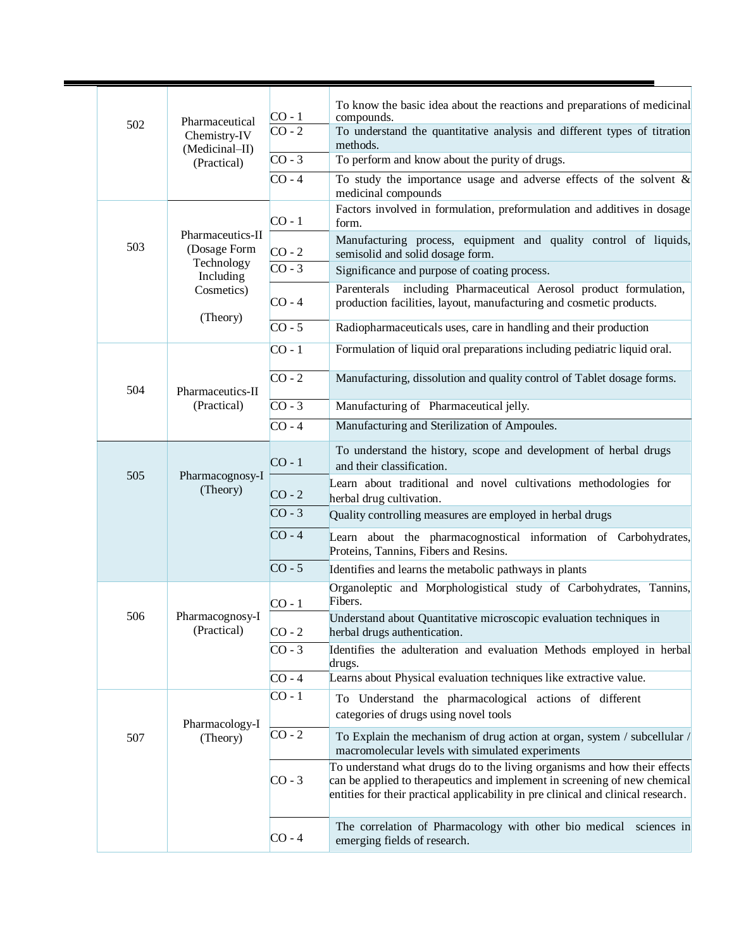|  |     |                                  | $CO - 1$                                                                                                 | To know the basic idea about the reactions and preparations of medicinal<br>compounds.                                                                                                                                                      |
|--|-----|----------------------------------|----------------------------------------------------------------------------------------------------------|---------------------------------------------------------------------------------------------------------------------------------------------------------------------------------------------------------------------------------------------|
|  | 502 | Pharmaceutical<br>Chemistry-IV   | $CO - 2$                                                                                                 | To understand the quantitative analysis and different types of titration<br>methods.                                                                                                                                                        |
|  |     | (Medicinal-II)<br>(Practical)    | $CO - 3$                                                                                                 | To perform and know about the purity of drugs.                                                                                                                                                                                              |
|  |     |                                  | $CO - 4$                                                                                                 | To study the importance usage and adverse effects of the solvent $\&$<br>medicinal compounds                                                                                                                                                |
|  |     |                                  | $CO - 1$                                                                                                 | Factors involved in formulation, preformulation and additives in dosage<br>form.                                                                                                                                                            |
|  | 503 | Pharmaceutics-II<br>(Dosage Form | $CO - 2$                                                                                                 | Manufacturing process, equipment and quality control of liquids,<br>semisolid and solid dosage form.                                                                                                                                        |
|  |     | Technology<br>Including          | $CO - 3$                                                                                                 | Significance and purpose of coating process.                                                                                                                                                                                                |
|  |     | Cosmetics)                       | $CO - 4$                                                                                                 | including Pharmaceutical Aerosol product formulation,<br>Parenterals<br>production facilities, layout, manufacturing and cosmetic products.                                                                                                 |
|  |     | (Theory)                         | $CO - 5$                                                                                                 | Radiopharmaceuticals uses, care in handling and their production                                                                                                                                                                            |
|  |     |                                  | $CO - 1$                                                                                                 | Formulation of liquid oral preparations including pediatric liquid oral.                                                                                                                                                                    |
|  | 504 | Pharmaceutics-II                 | $CO - 2$                                                                                                 | Manufacturing, dissolution and quality control of Tablet dosage forms.                                                                                                                                                                      |
|  |     | (Practical)                      | $CO - 3$                                                                                                 | Manufacturing of Pharmaceutical jelly.                                                                                                                                                                                                      |
|  |     |                                  | $CO - 4$                                                                                                 | Manufacturing and Sterilization of Ampoules.                                                                                                                                                                                                |
|  |     | Pharmacognosy-I<br>(Theory)      | $CO - 1$                                                                                                 | To understand the history, scope and development of herbal drugs<br>and their classification.                                                                                                                                               |
|  | 505 |                                  | $CO - 2$                                                                                                 | Learn about traditional and novel cultivations methodologies for<br>herbal drug cultivation.                                                                                                                                                |
|  |     | $CO - 3$                         | Quality controlling measures are employed in herbal drugs                                                |                                                                                                                                                                                                                                             |
|  |     | $CO - 4$                         | Learn about the pharmacognostical information of Carbohydrates,<br>Proteins, Tannins, Fibers and Resins. |                                                                                                                                                                                                                                             |
|  |     |                                  | $CO - 5$                                                                                                 | Identifies and learns the metabolic pathways in plants                                                                                                                                                                                      |
|  |     |                                  | $CO - 1$                                                                                                 | Organoleptic and Morphologistical study of Carbohydrates, Tannins,<br>Fibers.                                                                                                                                                               |
|  | 506 | Pharmacognosy-I<br>(Practical)   | $CO - 2$                                                                                                 | Understand about Quantitative microscopic evaluation techniques in<br>herbal drugs authentication.                                                                                                                                          |
|  |     |                                  | $CO - 3$                                                                                                 | Identifies the adulteration and evaluation Methods employed in herbal<br>drugs.                                                                                                                                                             |
|  |     |                                  | $CO - 4$                                                                                                 | Learns about Physical evaluation techniques like extractive value.                                                                                                                                                                          |
|  | 507 |                                  | $CO - 1$                                                                                                 | To Understand the pharmacological actions of different<br>categories of drugs using novel tools                                                                                                                                             |
|  |     | Pharmacology-I<br>(Theory)       | $CO - 2$                                                                                                 | To Explain the mechanism of drug action at organ, system / subcellular /<br>macromolecular levels with simulated experiments                                                                                                                |
|  |     |                                  | $CO - 3$                                                                                                 | To understand what drugs do to the living organisms and how their effects<br>can be applied to therapeutics and implement in screening of new chemical<br>entities for their practical applicability in pre clinical and clinical research. |
|  |     |                                  | $CO - 4$                                                                                                 | The correlation of Pharmacology with other bio medical<br>sciences in<br>emerging fields of research.                                                                                                                                       |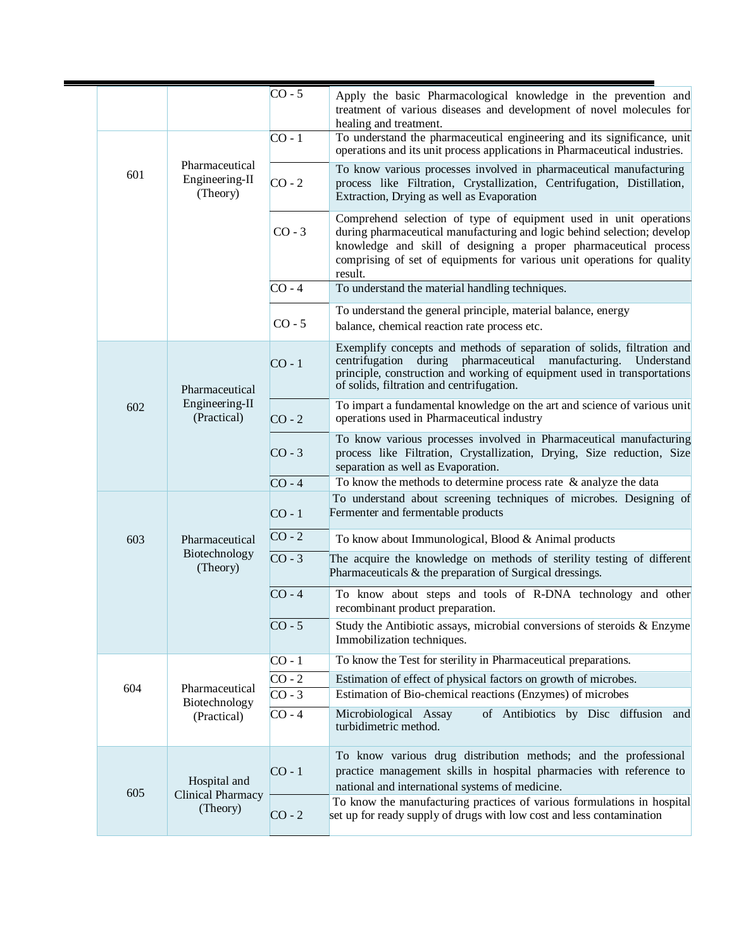|     |                                                      | $CO - 5$ | Apply the basic Pharmacological knowledge in the prevention and<br>treatment of various diseases and development of novel molecules for<br>healing and treatment.                                                                                                                                      |
|-----|------------------------------------------------------|----------|--------------------------------------------------------------------------------------------------------------------------------------------------------------------------------------------------------------------------------------------------------------------------------------------------------|
|     |                                                      | $CO - 1$ | To understand the pharmaceutical engineering and its significance, unit<br>operations and its unit process applications in Pharmaceutical industries.                                                                                                                                                  |
| 601 | Pharmaceutical<br>Engineering-II<br>(Theory)         | $CO - 2$ | To know various processes involved in pharmaceutical manufacturing<br>process like Filtration, Crystallization, Centrifugation, Distillation,<br>Extraction, Drying as well as Evaporation                                                                                                             |
|     |                                                      | $CO - 3$ | Comprehend selection of type of equipment used in unit operations<br>during pharmaceutical manufacturing and logic behind selection; develop<br>knowledge and skill of designing a proper pharmaceutical process<br>comprising of set of equipments for various unit operations for quality<br>result. |
|     |                                                      | $CO - 4$ | To understand the material handling techniques.                                                                                                                                                                                                                                                        |
|     |                                                      | $CO - 5$ | To understand the general principle, material balance, energy<br>balance, chemical reaction rate process etc.                                                                                                                                                                                          |
|     | Pharmaceutical                                       | $CO - 1$ | Exemplify concepts and methods of separation of solids, filtration and<br>centrifugation<br>during pharmaceutical manufacturing.<br>Understand<br>principle, construction and working of equipment used in transportations<br>of solids, filtration and centrifugation.                                |
| 602 | Engineering-II<br>(Practical)                        | $CO - 2$ | To impart a fundamental knowledge on the art and science of various unit<br>operations used in Pharmaceutical industry                                                                                                                                                                                 |
|     |                                                      | $CO - 3$ | To know various processes involved in Pharmaceutical manufacturing<br>process like Filtration, Crystallization, Drying, Size reduction, Size<br>separation as well as Evaporation.                                                                                                                     |
|     |                                                      | $CO - 4$ | To know the methods to determine process rate $\&$ analyze the data                                                                                                                                                                                                                                    |
|     | Pharmaceutical<br>Biotechnology<br>(Theory)          | $CO - 1$ | To understand about screening techniques of microbes. Designing of<br>Fermenter and fermentable products                                                                                                                                                                                               |
| 603 |                                                      | $CO - 2$ | To know about Immunological, Blood & Animal products                                                                                                                                                                                                                                                   |
|     |                                                      | $CO - 3$ | The acquire the knowledge on methods of sterility testing of different<br>Pharmaceuticals & the preparation of Surgical dressings.                                                                                                                                                                     |
|     |                                                      | $CO - 4$ | To know about steps and tools of R-DNA technology and other<br>recombinant product preparation.                                                                                                                                                                                                        |
|     |                                                      | $CO - 5$ | Study the Antibiotic assays, microbial conversions of steroids & Enzyme<br>Immobilization techniques.                                                                                                                                                                                                  |
|     |                                                      | $CO - 1$ | To know the Test for sterility in Pharmaceutical preparations.                                                                                                                                                                                                                                         |
| 604 | Pharmaceutical                                       | $CO - 2$ | Estimation of effect of physical factors on growth of microbes.                                                                                                                                                                                                                                        |
|     | Biotechnology                                        | $CO - 3$ | Estimation of Bio-chemical reactions (Enzymes) of microbes                                                                                                                                                                                                                                             |
|     | (Practical)                                          | $CO - 4$ | Microbiological Assay<br>of Antibiotics by Disc diffusion and<br>turbidimetric method.                                                                                                                                                                                                                 |
| 605 | Hospital and<br><b>Clinical Pharmacy</b><br>(Theory) | $CO - 1$ | To know various drug distribution methods; and the professional<br>practice management skills in hospital pharmacies with reference to<br>national and international systems of medicine.                                                                                                              |
|     |                                                      | $CO - 2$ | To know the manufacturing practices of various formulations in hospital<br>set up for ready supply of drugs with low cost and less contamination                                                                                                                                                       |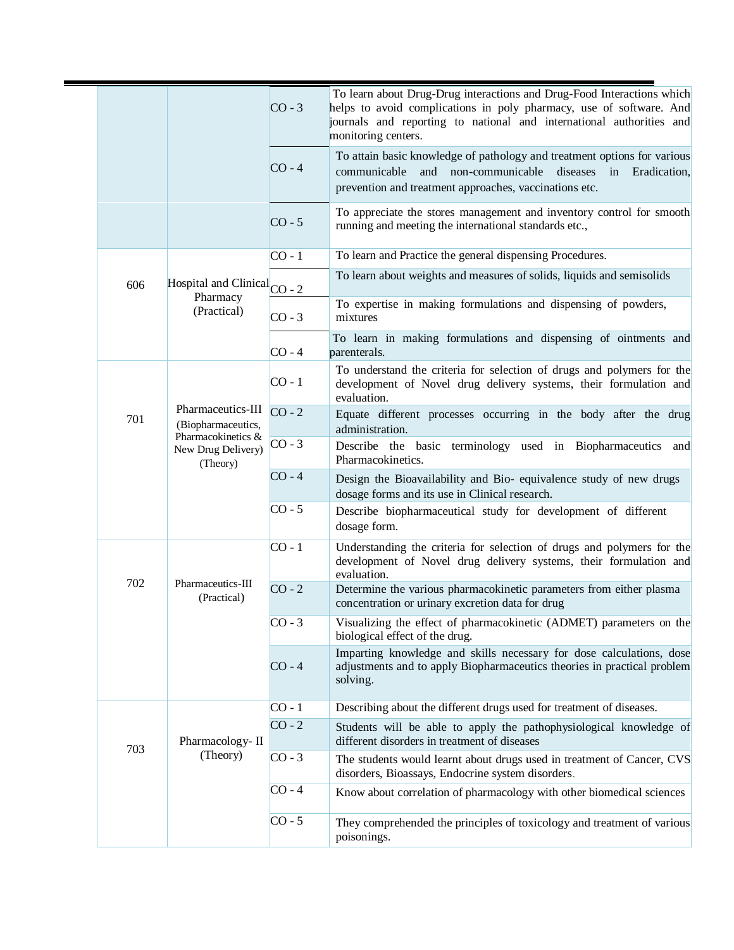|     |                                                                                                 | $CO - 3$ | To learn about Drug-Drug interactions and Drug-Food Interactions which<br>helps to avoid complications in poly pharmacy, use of software. And<br>journals and reporting to national and international authorities and<br>monitoring centers. |
|-----|-------------------------------------------------------------------------------------------------|----------|----------------------------------------------------------------------------------------------------------------------------------------------------------------------------------------------------------------------------------------------|
|     |                                                                                                 | $CO - 4$ | To attain basic knowledge of pathology and treatment options for various<br>communicable<br>and non-communicable diseases<br>in<br>Eradication,<br>prevention and treatment approaches, vaccinations etc.                                    |
|     |                                                                                                 | $CO - 5$ | To appreciate the stores management and inventory control for smooth<br>running and meeting the international standards etc.,                                                                                                                |
|     |                                                                                                 | $CO - 1$ | To learn and Practice the general dispensing Procedures.                                                                                                                                                                                     |
| 606 | Hospital and Clinical <sub>CO - 2</sub><br>Pharmacy                                             |          | To learn about weights and measures of solids, liquids and semisolids                                                                                                                                                                        |
|     | (Practical)                                                                                     | $CO - 3$ | To expertise in making formulations and dispensing of powders,<br>mixtures                                                                                                                                                                   |
|     |                                                                                                 | $CO - 4$ | To learn in making formulations and dispensing of ointments and<br>parenterals.                                                                                                                                                              |
|     | Pharmaceutics-III<br>(Biopharmaceutics,<br>Pharmacokinetics &<br>New Drug Delivery)<br>(Theory) | $CO - 1$ | To understand the criteria for selection of drugs and polymers for the<br>development of Novel drug delivery systems, their formulation and<br>evaluation.                                                                                   |
| 701 |                                                                                                 | $CO - 2$ | Equate different processes occurring in the body after the drug<br>administration.                                                                                                                                                           |
|     |                                                                                                 | $CO - 3$ | Describe the basic terminology used in Biopharmaceutics and<br>Pharmacokinetics.                                                                                                                                                             |
|     |                                                                                                 | $CO - 4$ | Design the Bioavailability and Bio-equivalence study of new drugs<br>dosage forms and its use in Clinical research.                                                                                                                          |
|     |                                                                                                 | $CO - 5$ | Describe biopharmaceutical study for development of different<br>dosage form.                                                                                                                                                                |
|     | Pharmaceutics-III<br>(Practical)                                                                | $CO - 1$ | Understanding the criteria for selection of drugs and polymers for the<br>development of Novel drug delivery systems, their formulation and<br>evaluation.                                                                                   |
| 702 |                                                                                                 | $CO - 2$ | Determine the various pharmacokinetic parameters from either plasma<br>concentration or urinary excretion data for drug                                                                                                                      |
|     |                                                                                                 | $CO - 3$ | Visualizing the effect of pharmacokinetic (ADMET) parameters on the<br>biological effect of the drug.                                                                                                                                        |
|     |                                                                                                 | $CO - 4$ | Imparting knowledge and skills necessary for dose calculations, dose<br>adjustments and to apply Biopharmaceutics theories in practical problem<br>solving.                                                                                  |
|     |                                                                                                 | $CO - 1$ | Describing about the different drugs used for treatment of diseases.                                                                                                                                                                         |
|     | Pharmacology-II                                                                                 | $CO - 2$ | Students will be able to apply the pathophysiological knowledge of<br>different disorders in treatment of diseases                                                                                                                           |
| 703 | (Theory)                                                                                        | $CO - 3$ | The students would learnt about drugs used in treatment of Cancer, CVS<br>disorders, Bioassays, Endocrine system disorders.                                                                                                                  |
|     |                                                                                                 | $CO - 4$ | Know about correlation of pharmacology with other biomedical sciences                                                                                                                                                                        |
|     |                                                                                                 | $CO - 5$ | They comprehended the principles of toxicology and treatment of various<br>poisonings.                                                                                                                                                       |
|     |                                                                                                 |          |                                                                                                                                                                                                                                              |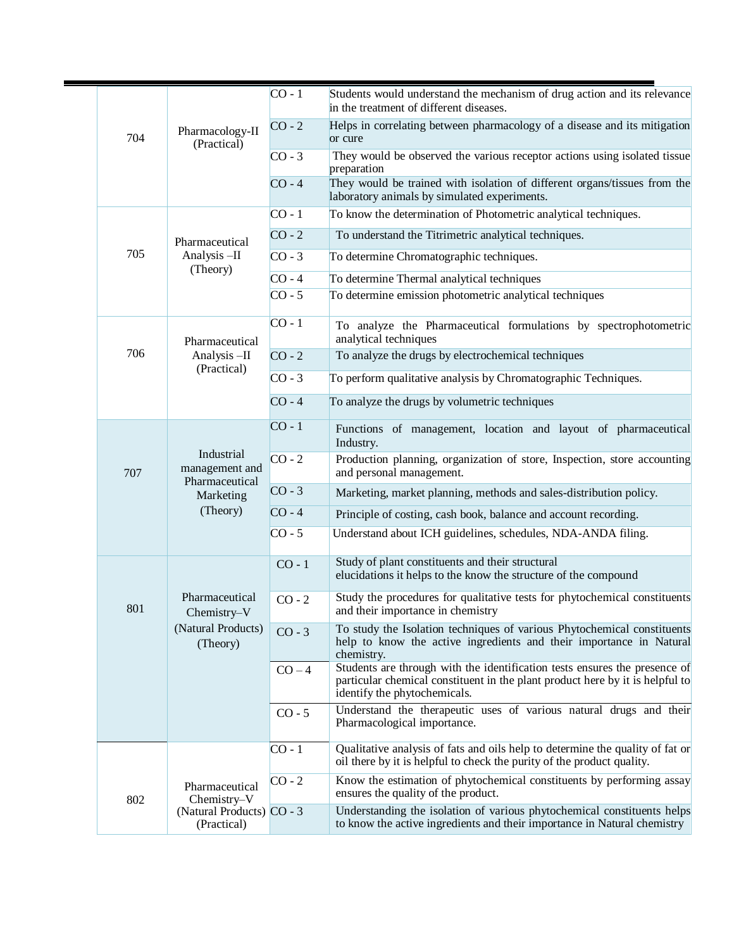|  |          |                                                                           | $CO - 1$                                                        | Students would understand the mechanism of drug action and its relevance<br>in the treatment of different diseases.                                                                         |
|--|----------|---------------------------------------------------------------------------|-----------------------------------------------------------------|---------------------------------------------------------------------------------------------------------------------------------------------------------------------------------------------|
|  | 704      | Pharmacology-II<br>(Practical)                                            | $CO - 2$                                                        | Helps in correlating between pharmacology of a disease and its mitigation<br>or cure                                                                                                        |
|  |          |                                                                           | $CO - 3$                                                        | They would be observed the various receptor actions using isolated tissue<br>preparation                                                                                                    |
|  |          |                                                                           | $CO - 4$                                                        | They would be trained with isolation of different organs/tissues from the<br>laboratory animals by simulated experiments.                                                                   |
|  |          |                                                                           | $CO - 1$                                                        | To know the determination of Photometric analytical techniques.                                                                                                                             |
|  |          | Pharmaceutical                                                            | $CO - 2$                                                        | To understand the Titrimetric analytical techniques.                                                                                                                                        |
|  | 705      | Analysis-II                                                               | $CO - 3$                                                        | To determine Chromatographic techniques.                                                                                                                                                    |
|  |          | (Theory)                                                                  | $CO - 4$                                                        | To determine Thermal analytical techniques                                                                                                                                                  |
|  |          |                                                                           | $CO - 5$                                                        | To determine emission photometric analytical techniques                                                                                                                                     |
|  |          | Pharmaceutical                                                            | $CO - 1$                                                        | To analyze the Pharmaceutical formulations by spectrophotometric<br>analytical techniques                                                                                                   |
|  | 706      | Analysis-II                                                               | $CO - 2$                                                        | To analyze the drugs by electrochemical techniques                                                                                                                                          |
|  |          | (Practical)                                                               | $CO - 3$                                                        | To perform qualitative analysis by Chromatographic Techniques.                                                                                                                              |
|  |          |                                                                           | $CO - 4$                                                        | To analyze the drugs by volumetric techniques                                                                                                                                               |
|  |          | Industrial<br>management and<br>Pharmaceutical<br>Marketing               | $CO - 1$                                                        | Functions of management, location and layout of pharmaceutical<br>Industry.                                                                                                                 |
|  | 707      |                                                                           | $CO - 2$                                                        | Production planning, organization of store, Inspection, store accounting<br>and personal management.                                                                                        |
|  | (Theory) |                                                                           | $CO - 3$                                                        | Marketing, market planning, methods and sales-distribution policy.                                                                                                                          |
|  |          | $CO - 4$                                                                  | Principle of costing, cash book, balance and account recording. |                                                                                                                                                                                             |
|  |          |                                                                           | $CO - 5$                                                        | Understand about ICH guidelines, schedules, NDA-ANDA filing.                                                                                                                                |
|  |          |                                                                           | $CO - 1$                                                        | Study of plant constituents and their structural<br>elucidations it helps to the know the structure of the compound                                                                         |
|  | 801      | Pharmaceutical<br>Chemistry-V<br>(Natural Products)<br>(Theory)           | $CO - 2$                                                        | Study the procedures for qualitative tests for phytochemical constituents<br>and their importance in chemistry                                                                              |
|  |          |                                                                           | $CO - 3$                                                        | To study the Isolation techniques of various Phytochemical constituents<br>help to know the active ingredients and their importance in Natural<br>chemistry.                                |
|  |          |                                                                           | $CO - 4$                                                        | Students are through with the identification tests ensures the presence of<br>particular chemical constituent in the plant product here by it is helpful to<br>identify the phytochemicals. |
|  |          |                                                                           | $CO - 5$                                                        | Understand the therapeutic uses of various natural drugs and their<br>Pharmacological importance.                                                                                           |
|  |          |                                                                           | $CO - 1$                                                        | Qualitative analysis of fats and oils help to determine the quality of fat or<br>oil there by it is helpful to check the purity of the product quality.                                     |
|  | 802      | Pharmaceutical<br>Chemistry-V<br>(Natural Products) CO - 3<br>(Practical) | $CO - 2$                                                        | Know the estimation of phytochemical constituents by performing assay<br>ensures the quality of the product.                                                                                |
|  |          |                                                                           |                                                                 | Understanding the isolation of various phytochemical constituents helps<br>to know the active ingredients and their importance in Natural chemistry                                         |